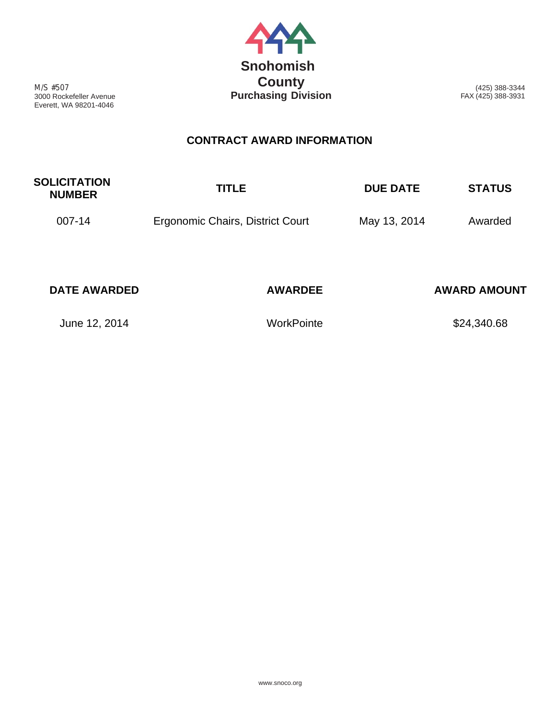

M/S #507 3000 Rockefeller Avenue Everett, WA 98201-4046

(425) 388-3344 FAX (425) 388-3931

## **CONTRACT AWARD INFORMATION**

| <b>SOLICITATION</b><br><b>NUMBER</b> | <b>TITLE</b>                     | <b>DUE DATE</b> | <b>STATUS</b>       |
|--------------------------------------|----------------------------------|-----------------|---------------------|
| 007-14                               | Ergonomic Chairs, District Court | May 13, 2014    | Awarded             |
| <b>DATE AWARDED</b>                  | <b>AWARDEE</b>                   |                 | <b>AWARD AMOUNT</b> |

June 12, 2014 **WorkPointe WorkPointe** \$24,340.68